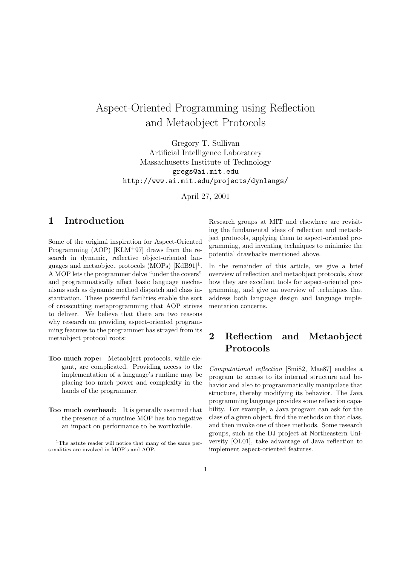# Aspect-Oriented Programming using Reflection and Metaobject Protocols

Gregory T. Sullivan Artificial Intelligence Laboratory Massachusetts Institute of Technology gregs@ai.mit.edu http://www.ai.mit.edu/projects/dynlangs/

April 27, 2001

## 1 Introduction

Some of the original inspiration for Aspect-Oriented Programming  $(AOP)$  [KLM<sup>+97]</sup> draws from the research in dynamic, reflective object-oriented languages and metaobject protocols  $(MOPs)$   $[KdB91]$ <sup>1</sup>. A MOP lets the programmer delve "under the covers" and programmatically affect basic language mechanisms such as dynamic method dispatch and class instantiation. These powerful facilities enable the sort of crosscutting metaprogramming that AOP strives to deliver. We believe that there are two reasons why research on providing aspect-oriented programming features to the programmer has strayed from its metaobject protocol roots:

- Too much rope: Metaobject protocols, while elegant, are complicated. Providing access to the implementation of a language's runtime may be placing too much power and complexity in the hands of the programmer.
- Too much overhead: It is generally assumed that the presence of a runtime MOP has too negative an impact on performance to be worthwhile.

Research groups at MIT and elsewhere are revisiting the fundamental ideas of reflection and metaobject protocols, applying them to aspect-oriented programming, and inventing techniques to minimize the potential drawbacks mentioned above.

In the remainder of this article, we give a brief overview of reflection and metaobject protocols, show how they are excellent tools for aspect-oriented programming, and give an overview of techniques that address both language design and language implementation concerns.

## 2 Reflection and Metaobject Protocols

Computational reflection [Smi82, Mae87] enables a program to access to its internal structure and behavior and also to programmatically manipulate that structure, thereby modifying its behavior. The Java programming language provides some reflection capability. For example, a Java program can ask for the class of a given object, find the methods on that class, and then invoke one of those methods. Some research groups, such as the DJ project at Northeastern University [OL01], take advantage of Java reflection to implement aspect-oriented features.

<sup>&</sup>lt;sup>1</sup>The astute reader will notice that many of the same personalities are involved in MOP's and AOP.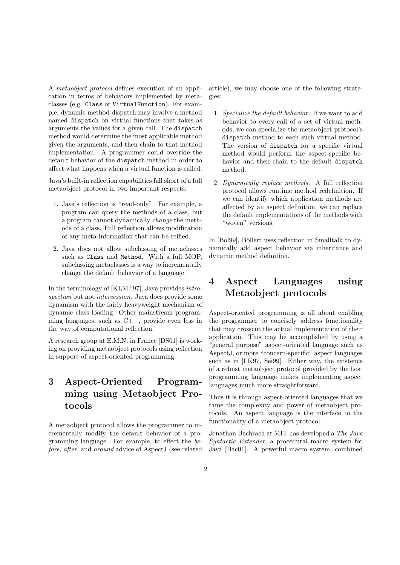A metaobject protocol defines execution of an application in terms of behaviors implemented by metaclasses (e.g. Class or VirtualFunction). For example, dynamic method dispatch may involve a method named dispatch on virtual functions that takes as arguments the values for a given call. The dispatch method would determine the most applicable method given the arguments, and then chain to that method implementation. A programmer could override the default behavior of the dispatch method in order to affect what happens when a virtual function is called.

Java's built-in reflection capabilities fall short of a full metaobject protocol in two important respects:

- 1. Java's reflection is "read-only". For example, a program can query the methods of a class, but a program cannot dynamically change the methods of a class. Full reflection allows modification of any meta-information that can be reified.
- 2. Java does not allow subclassing of metaclasses such as Class and Method. With a full MOP, subclassing metaclasses is a way to incrementally change the default behavior of a language.

In the terminology of  $[KLM+97]$ , Java provides *intro*spection but not intercession. Java does provide some dynamism with the fairly heavyweight mechanism of dynamic class loading. Other mainstream programming languages, such as C++, provide even less in the way of computational reflection.

A research group at E.M.N. in France [DS01] is working on providing metaobject protocols using reflection in support of aspect-oriented programming.

# 3 Aspect-Oriented Programming using Metaobject Protocols

A metaobject protocol allows the programmer to incrementally modify the default behavior of a programming language. For example, to effect the before, after, and around advice of AspectJ (see related

article), we may choose one of the following strategies:

- 1. Specialize the default behavior. If we want to add behavior to every call of a set of virtual methods, we can specialize the metaobject protocol's dispatch method to each such virtual method. The version of dispatch for a specific virtual method would perform the aspect-specific behavior and then chain to the default dispatch method.
- 2. Dynamically replace methods. A full reflection protocol allows runtime method redefinition. If we can identify which application methods are affected by an aspect definition, we can replace the default implementations of the methods with "woven" versions.

In [Böl99], Böllert uses reflection in Smalltalk to dynamically add aspect behavior via inheritance and dynamic method definition.

## 4 Aspect Languages using Metaobject protocols

Aspect-oriented programming is all about enabling the programmer to concisely address functionality that may crosscut the actual implementation of their application. This may be accomplished by using a "general purpose" aspect-oriented language such as AspectJ, or more "concern-specific" aspect languages such as in [LK97, Sei99]. Either way, the existence of a robust metaobject protocol provided by the host programming language makes implementing aspect languages much more straightforward.

Thus it is through aspect-oriented languages that we tame the complexity and power of metaobject protocols. An aspect language is the interface to the functionality of a metaobject protocol.

Jonathan Bachrach at MIT has developed a The Java Syntactic Extender, a procedural macro system for Java [Bac01]. A powerful macro system, combined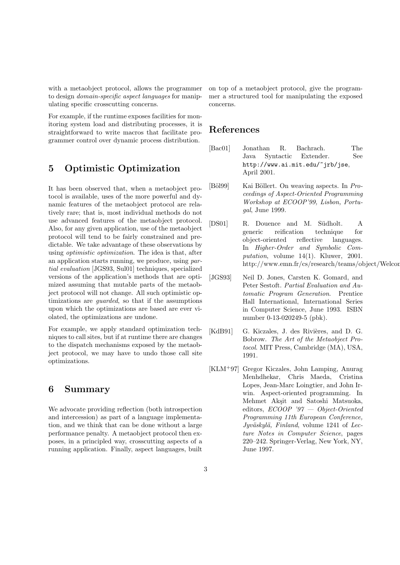with a metaobject protocol, allows the programmer to design domain-specific aspect languages for manipulating specific crosscutting concerns.

For example, if the runtime exposes facilities for monitoring system load and distributing processes, it is straightforward to write macros that facilitate programmer control over dynamic process distribution.

#### 5 Optimistic Optimization

It has been observed that, when a metaobject protocol is available, uses of the more powerful and dynamic features of the metaobject protocol are relatively rare; that is, most individual methods do not use advanced features of the metaobject protocol. Also, for any given application, use of the metaobject protocol will tend to be fairly constrained and predictable. We take advantage of these observations by using optimistic optimization. The idea is that, after an application starts running, we produce, using partial evaluation [JGS93, Sul01] techniques, specialized versions of the application's methods that are optimized assuming that mutable parts of the metaobject protocol will not change. All such optimistic optimizations are guarded, so that if the assumptions upon which the optimizations are based are ever violated, the optimizations are undone.

For example, we apply standard optimization techniques to call sites, but if at runtime there are changes to the dispatch mechanisms exposed by the metaobject protocol, we may have to undo those call site optimizations.

#### 6 Summary

We advocate providing reflection (both introspection and intercession) as part of a language implementation, and we think that can be done without a large performance penalty. A metaobject protocol then exposes, in a principled way, crosscutting aspects of a running application. Finally, aspect languages, built

on top of a metaobject protocol, give the programmer a structured tool for manipulating the exposed concerns.

### References

- [Bac01] Jonathan R. Bachrach. The Java Syntactic Extender. See http://www.ai.mit.edu/~jrb/jse, April 2001.
- [Böl99] Kai Böllert. On weaving aspects. In Proceedings of Aspect-Oriented Programming Workshop at ECOOP'99, Lisbon, Portugal, June 1999.
- [DS01] R. Douence and M. Südholt. A generic reification technique for object-oriented reflective languages. In Higher-Order and Symbolic Computation, volume 14(1). Kluwer, 2001.  $http://www.emn.fr.cs/research/teams/object/Welcor$
- [JGS93] Neil D. Jones, Carsten K. Gomard, and Peter Sestoft. Partial Evaluation and Automatic Program Generation. Prentice Hall International, International Series in Computer Science, June 1993. ISBN number 0-13-020249-5 (pbk).
- [KdB91] G. Kiczales, J. des Rivières, and D. G. Bobrow. The Art of the Metaobject Protocol. MIT Press, Cambridge (MA), USA, 1991.
- [KLM<sup>+</sup>97] Gregor Kiczales, John Lamping, Anurag Menhdhekar, Chris Maeda, Cristina Lopes, Jean-Marc Loingtier, and John Irwin. Aspect-oriented programming. In Mehmet Aksit and Satoshi Matsuoka, editors, ECOOP '97 - Object-Oriented Programming 11th European Conference,  $Jyv\ddot{a}skyl\ddot{a}$ , Finland, volume 1241 of Lecture Notes in Computer Science, pages 220–242. Springer-Verlag, New York, NY, June 1997.